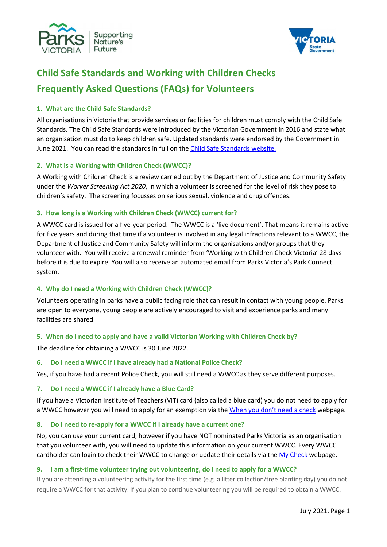



# Child Safe Standards and Working with Children Checks Frequently Asked Questions (FAQs) for Volunteers

## 1. What are the Child Safe Standards?

All organisations in Victoria that provide services or facilities for children must comply with the Child Safe Standards. The Child Safe Standards were introduced by the Victorian Government in 2016 and state what an organisation must do to keep children safe. Updated standards were endorsed by the Government in June 2021. You can read the standards in full on the Child Safe Standards website.

## 2. What is a Working with Children Check (WWCC)?

A Working with Children Check is a review carried out by the Department of Justice and Community Safety under the Worker Screening Act 2020, in which a volunteer is screened for the level of risk they pose to children's safety. The screening focusses on serious sexual, violence and drug offences.

## 3. How long is a Working with Children Check (WWCC) current for?

A WWCC card is issued for a five-year period. The WWCC is a 'live document'. That means it remains active for five years and during that time if a volunteer is involved in any legal infractions relevant to a WWCC, the Department of Justice and Community Safety will inform the organisations and/or groups that they volunteer with. You will receive a renewal reminder from 'Working with Children Check Victoria' 28 days before it is due to expire. You will also receive an automated email from Parks Victoria's Park Connect system.

# 4. Why do I need a Working with Children Check (WWCC)?

Volunteers operating in parks have a public facing role that can result in contact with young people. Parks are open to everyone, young people are actively encouraged to visit and experience parks and many facilities are shared.

# 5. When do I need to apply and have a valid Victorian Working with Children Check by?

The deadline for obtaining a WWCC is 30 June 2022.

## 6. Do I need a WWCC if I have already had a National Police Check?

Yes, if you have had a recent Police Check, you will still need a WWCC as they serve different purposes.

## 7. Do I need a WWCC if I already have a Blue Card?

If you have a Victorian Institute of Teachers (VIT) card (also called a blue card) you do not need to apply for a WWCC however you will need to apply for an exemption via the When you don't need a check webpage.

## 8. Do I need to re-apply for a WWCC if I already have a current one?

No, you can use your current card, however if you have NOT nominated Parks Victoria as an organisation that you volunteer with, you will need to update this information on your current WWCC. Every WWCC cardholder can login to check their WWCC to change or update their details via the My Check webpage.

## 9. I am a first-time volunteer trying out volunteering, do I need to apply for a WWCC?

If you are attending a volunteering activity for the first time (e.g. a litter collection/tree planting day) you do not require a WWCC for that activity. If you plan to continue volunteering you will be required to obtain a WWCC.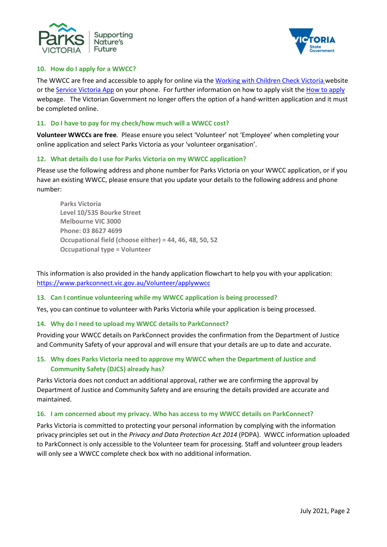



## 10. How do I apply for a WWCC?

The WWCC are free and accessible to apply for online via the Working with Children Check Victoria website or the Service Victoria App on your phone. For further information on how to apply visit the How to apply webpage. The Victorian Government no longer offers the option of a hand-written application and it must be completed online.

#### 11. Do I have to pay for my check/how much will a WWCC cost?

Volunteer WWCCs are free. Please ensure you select 'Volunteer' not 'Employee' when completing your online application and select Parks Victoria as your 'volunteer organisation'.

## 12. What details do I use for Parks Victoria on my WWCC application?

Please use the following address and phone number for Parks Victoria on your WWCC application, or if you have an existing WWCC, please ensure that you update your details to the following address and phone number:

Parks Victoria Level 10/535 Bourke Street Melbourne VIC 3000 Phone: 03 8627 4699 Occupational field (choose either) = 44, 46, 48, 50, 52 Occupational type = Volunteer

This information is also provided in the handy application flowchart to help you with your application: https://www.parkconnect.vic.gov.au/Volunteer/applywwcc

## 13. Can I continue volunteering while my WWCC application is being processed?

Yes, you can continue to volunteer with Parks Victoria while your application is being processed.

## 14. Why do I need to upload my WWCC details to ParkConnect?

Providing your WWCC details on ParkConnect provides the confirmation from the Department of Justice and Community Safety of your approval and will ensure that your details are up to date and accurate.

## 15. Why does Parks Victoria need to approve my WWCC when the Department of Justice and Community Safety (DJCS) already has?

Parks Victoria does not conduct an additional approval, rather we are confirming the approval by Department of Justice and Community Safety and are ensuring the details provided are accurate and maintained.

#### 16. I am concerned about my privacy. Who has access to my WWCC details on ParkConnect?

Parks Victoria is committed to protecting your personal information by complying with the information privacy principles set out in the Privacy and Data Protection Act 2014 (PDPA). WWCC information uploaded to ParkConnect is only accessible to the Volunteer team for processing. Staff and volunteer group leaders will only see a WWCC complete check box with no additional information.